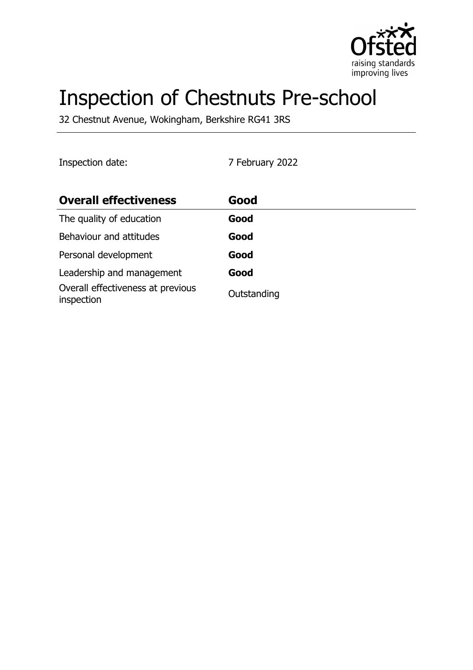

# Inspection of Chestnuts Pre-school

32 Chestnut Avenue, Wokingham, Berkshire RG41 3RS

Inspection date: 7 February 2022

| <b>Overall effectiveness</b>                    | Good        |
|-------------------------------------------------|-------------|
| The quality of education                        | Good        |
| Behaviour and attitudes                         | Good        |
| Personal development                            | Good        |
| Leadership and management                       | Good        |
| Overall effectiveness at previous<br>inspection | Outstanding |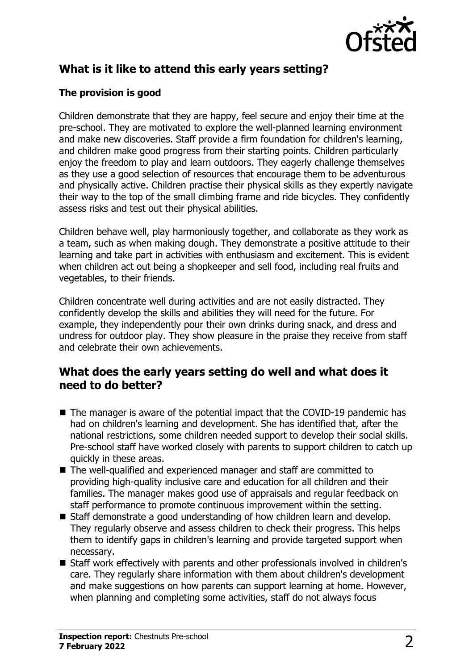

# **What is it like to attend this early years setting?**

#### **The provision is good**

Children demonstrate that they are happy, feel secure and enjoy their time at the pre-school. They are motivated to explore the well-planned learning environment and make new discoveries. Staff provide a firm foundation for children's learning, and children make good progress from their starting points. Children particularly enjoy the freedom to play and learn outdoors. They eagerly challenge themselves as they use a good selection of resources that encourage them to be adventurous and physically active. Children practise their physical skills as they expertly navigate their way to the top of the small climbing frame and ride bicycles. They confidently assess risks and test out their physical abilities.

Children behave well, play harmoniously together, and collaborate as they work as a team, such as when making dough. They demonstrate a positive attitude to their learning and take part in activities with enthusiasm and excitement. This is evident when children act out being a shopkeeper and sell food, including real fruits and vegetables, to their friends.

Children concentrate well during activities and are not easily distracted. They confidently develop the skills and abilities they will need for the future. For example, they independently pour their own drinks during snack, and dress and undress for outdoor play. They show pleasure in the praise they receive from staff and celebrate their own achievements.

### **What does the early years setting do well and what does it need to do better?**

- $\blacksquare$  The manager is aware of the potential impact that the COVID-19 pandemic has had on children's learning and development. She has identified that, after the national restrictions, some children needed support to develop their social skills. Pre-school staff have worked closely with parents to support children to catch up quickly in these areas.
- $\blacksquare$  The well-qualified and experienced manager and staff are committed to providing high-quality inclusive care and education for all children and their families. The manager makes good use of appraisals and regular feedback on staff performance to promote continuous improvement within the setting.
- Staff demonstrate a good understanding of how children learn and develop. They regularly observe and assess children to check their progress. This helps them to identify gaps in children's learning and provide targeted support when necessary.
- Staff work effectively with parents and other professionals involved in children's care. They regularly share information with them about children's development and make suggestions on how parents can support learning at home. However, when planning and completing some activities, staff do not always focus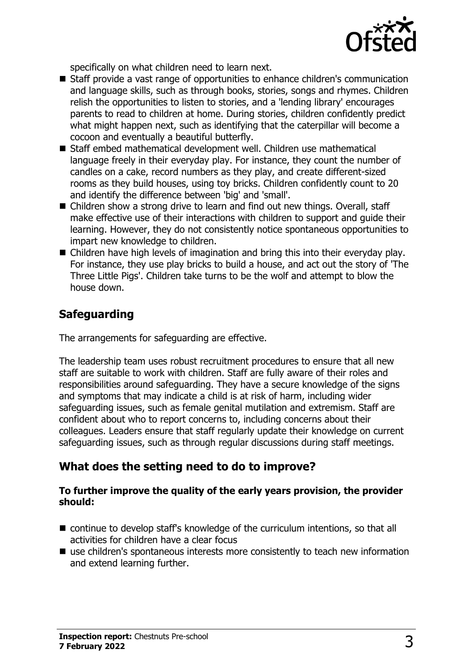

specifically on what children need to learn next.

- Staff provide a vast range of opportunities to enhance children's communication and language skills, such as through books, stories, songs and rhymes. Children relish the opportunities to listen to stories, and a 'lending library' encourages parents to read to children at home. During stories, children confidently predict what might happen next, such as identifying that the caterpillar will become a cocoon and eventually a beautiful butterfly.
- Staff embed mathematical development well. Children use mathematical language freely in their everyday play. For instance, they count the number of candles on a cake, record numbers as they play, and create different-sized rooms as they build houses, using toy bricks. Children confidently count to 20 and identify the difference between 'big' and 'small'.
- Children show a strong drive to learn and find out new things. Overall, staff make effective use of their interactions with children to support and guide their learning. However, they do not consistently notice spontaneous opportunities to impart new knowledge to children.
- $\blacksquare$  Children have high levels of imagination and bring this into their everyday play. For instance, they use play bricks to build a house, and act out the story of 'The Three Little Pigs'. Children take turns to be the wolf and attempt to blow the house down.

# **Safeguarding**

The arrangements for safeguarding are effective.

The leadership team uses robust recruitment procedures to ensure that all new staff are suitable to work with children. Staff are fully aware of their roles and responsibilities around safeguarding. They have a secure knowledge of the signs and symptoms that may indicate a child is at risk of harm, including wider safeguarding issues, such as female genital mutilation and extremism. Staff are confident about who to report concerns to, including concerns about their colleagues. Leaders ensure that staff regularly update their knowledge on current safeguarding issues, such as through regular discussions during staff meetings.

# **What does the setting need to do to improve?**

#### **To further improve the quality of the early years provision, the provider should:**

- $\blacksquare$  continue to develop staff's knowledge of the curriculum intentions, so that all activities for children have a clear focus
- $\blacksquare$  use children's spontaneous interests more consistently to teach new information and extend learning further.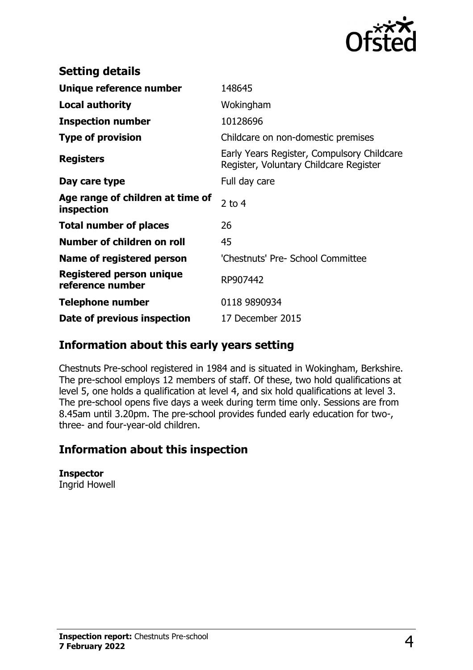

| <b>Setting details</b>                              |                                                                                      |
|-----------------------------------------------------|--------------------------------------------------------------------------------------|
| Unique reference number                             | 148645                                                                               |
| <b>Local authority</b>                              | Wokingham                                                                            |
| <b>Inspection number</b>                            | 10128696                                                                             |
| <b>Type of provision</b>                            | Childcare on non-domestic premises                                                   |
| <b>Registers</b>                                    | Early Years Register, Compulsory Childcare<br>Register, Voluntary Childcare Register |
| Day care type                                       | Full day care                                                                        |
| Age range of children at time of<br>inspection      | 2 to $4$                                                                             |
| <b>Total number of places</b>                       | 26                                                                                   |
| Number of children on roll                          | 45                                                                                   |
| Name of registered person                           | 'Chestnuts' Pre- School Committee                                                    |
| <b>Registered person unique</b><br>reference number | RP907442                                                                             |
| <b>Telephone number</b>                             | 0118 9890934                                                                         |
| Date of previous inspection                         | 17 December 2015                                                                     |

# **Information about this early years setting**

Chestnuts Pre-school registered in 1984 and is situated in Wokingham, Berkshire. The pre-school employs 12 members of staff. Of these, two hold qualifications at level 5, one holds a qualification at level 4, and six hold qualifications at level 3. The pre-school opens five days a week during term time only. Sessions are from 8.45am until 3.20pm. The pre-school provides funded early education for two-, three- and four-year-old children.

# **Information about this inspection**

**Inspector** Ingrid Howell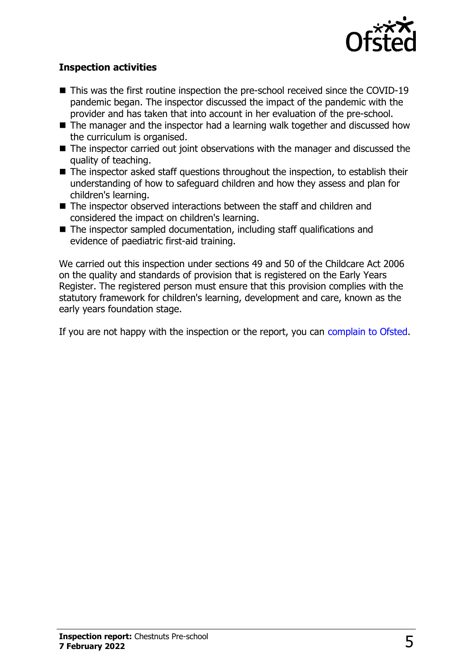

#### **Inspection activities**

- $\blacksquare$  This was the first routine inspection the pre-school received since the COVID-19 pandemic began. The inspector discussed the impact of the pandemic with the provider and has taken that into account in her evaluation of the pre-school.
- $\blacksquare$  The manager and the inspector had a learning walk together and discussed how the curriculum is organised.
- $\blacksquare$  The inspector carried out joint observations with the manager and discussed the quality of teaching.
- The inspector asked staff questions throughout the inspection, to establish their understanding of how to safeguard children and how they assess and plan for children's learning.
- $\blacksquare$  The inspector observed interactions between the staff and children and considered the impact on children's learning.
- $\blacksquare$  The inspector sampled documentation, including staff qualifications and evidence of paediatric first-aid training.

We carried out this inspection under sections 49 and 50 of the Childcare Act 2006 on the quality and standards of provision that is registered on the Early Years Register. The registered person must ensure that this provision complies with the statutory framework for children's learning, development and care, known as the early years foundation stage.

If you are not happy with the inspection or the report, you can [complain to Ofsted](http://www.gov.uk/complain-ofsted-report).